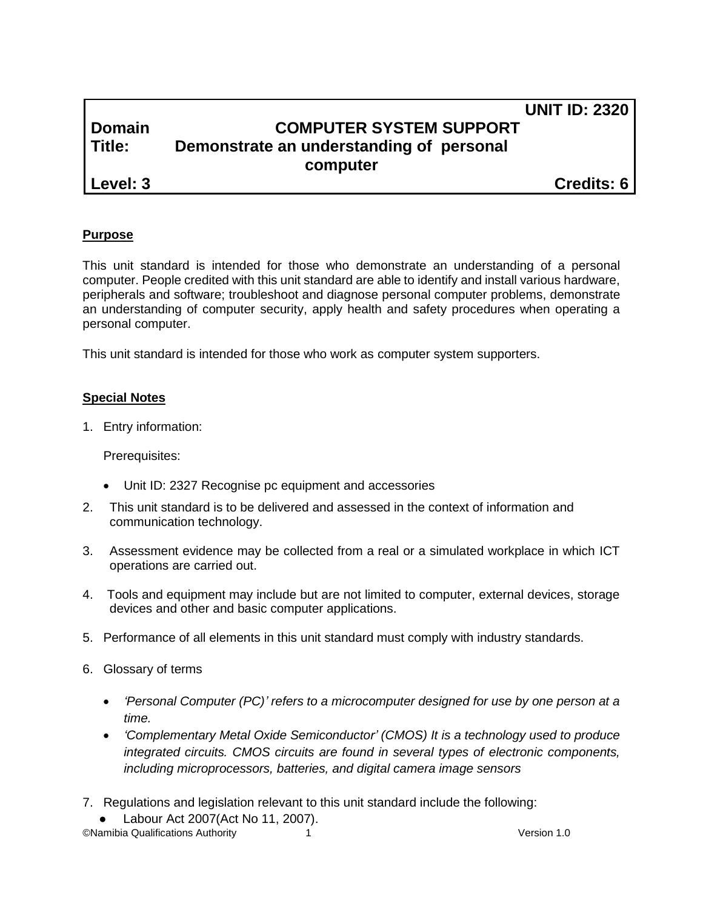# **UNIT ID: 2320 Domain COMPUTER SYSTEM SUPPORT Title: Demonstrate an understanding of personal computer Level: 3 Credits: 6**

# **Purpose**

This unit standard is intended for those who demonstrate an understanding of a personal computer. People credited with this unit standard are able to identify and install various hardware, peripherals and software; troubleshoot and diagnose personal computer problems, demonstrate an understanding of computer security, apply health and safety procedures when operating a personal computer.

This unit standard is intended for those who work as computer system supporters.

### **Special Notes**

1. Entry information:

Prerequisites:

- Unit ID: 2327 Recognise pc equipment and accessories
- 2. This unit standard is to be delivered and assessed in the context of information and communication technology.
- 3. Assessment evidence may be collected from a real or a simulated workplace in which ICT operations are carried out.
- 4. Tools and equipment may include but are not limited to computer, external devices, storage devices and other and basic computer applications.
- 5. Performance of all elements in this unit standard must comply with industry standards.
- 6. Glossary of terms
	- *'Personal Computer (PC)' refers to a microcomputer designed for use by one person at a time.*
	- *'Complementary Metal Oxide Semiconductor' (CMOS) It is a technology used to produce integrated circuits. CMOS circuits are found in several types of electronic components, including microprocessors, batteries, and digital camera image sensors*
- 7. Regulations and legislation relevant to this unit standard include the following:
- ©Namibia Qualifications Authority 1 Version 1.0 Labour Act 2007(Act No 11, 2007).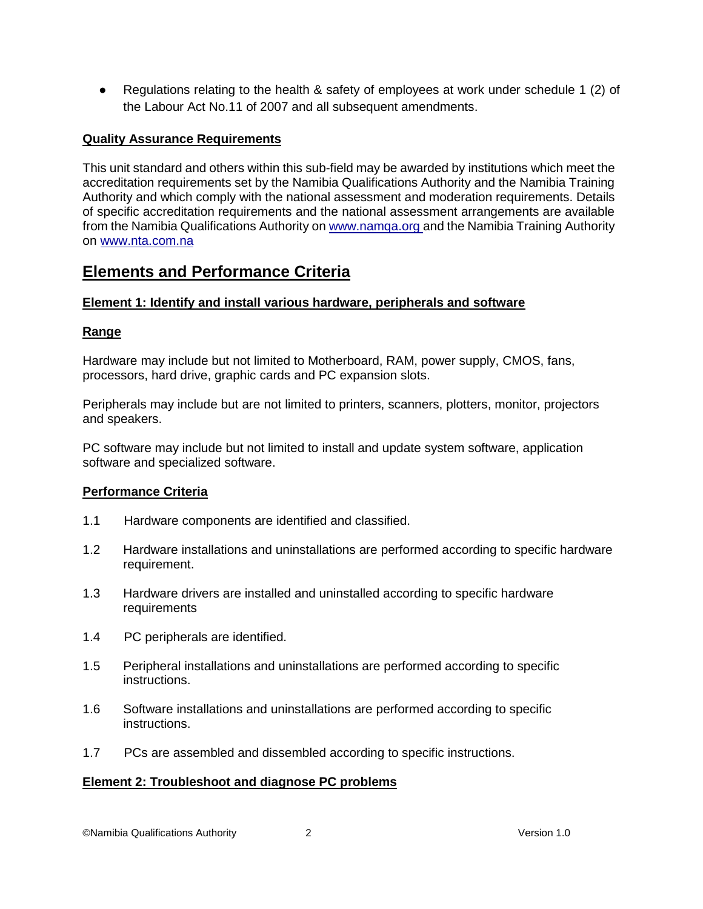● Regulations relating to the health & safety of employees at work under schedule 1 (2) of the Labour Act No.11 of 2007 and all subsequent amendments.

## **Quality Assurance Requirements**

This unit standard and others within this sub-field may be awarded by institutions which meet the accreditation requirements set by the Namibia Qualifications Authority and the Namibia Training Authority and which comply with the national assessment and moderation requirements. Details of specific accreditation requirements and the national assessment arrangements are available from the Namibia Qualifications Authority o[n www.namqa.org a](http://www.namqa.org/)nd the Namibia Training Authority on [www.nta.com.na](http://www.nta.com.na/)

# **Elements and Performance Criteria**

### **Element 1: Identify and install various hardware, peripherals and software**

### **Range**

Hardware may include but not limited to Motherboard, RAM, power supply, CMOS, fans, processors, hard drive, graphic cards and PC expansion slots.

Peripherals may include but are not limited to printers, scanners, plotters, monitor, projectors and speakers.

PC software may include but not limited to install and update system software, application software and specialized software.

### **Performance Criteria**

- 1.1 Hardware components are identified and classified.
- 1.2 Hardware installations and uninstallations are performed according to specific hardware requirement.
- 1.3 Hardware drivers are installed and uninstalled according to specific hardware requirements
- 1.4 PC peripherals are identified.
- 1.5 Peripheral installations and uninstallations are performed according to specific instructions.
- 1.6 Software installations and uninstallations are performed according to specific instructions.
- 1.7 PCs are assembled and dissembled according to specific instructions.

#### **Element 2: Troubleshoot and diagnose PC problems**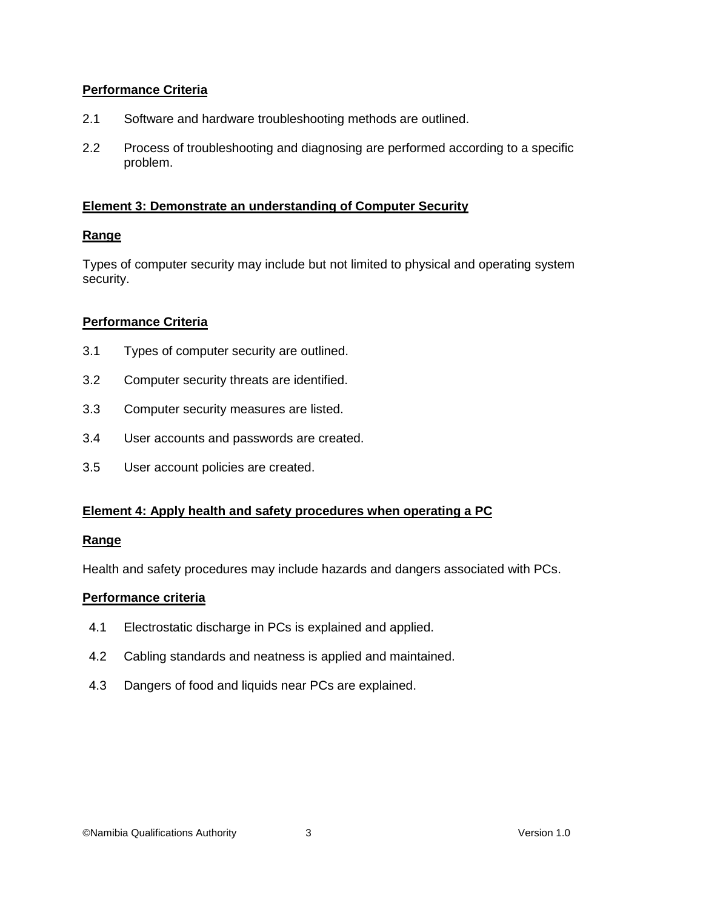# **Performance Criteria**

- 2.1 Software and hardware troubleshooting methods are outlined.
- 2.2 Process of troubleshooting and diagnosing are performed according to a specific problem.

# **Element 3: Demonstrate an understanding of Computer Security**

# **Range**

Types of computer security may include but not limited to physical and operating system security.

# **Performance Criteria**

- 3.1 Types of computer security are outlined.
- 3.2 Computer security threats are identified.
- 3.3 Computer security measures are listed.
- 3.4 User accounts and passwords are created.
- 3.5 User account policies are created.

# **Element 4: Apply health and safety procedures when operating a PC**

### **Range**

Health and safety procedures may include hazards and dangers associated with PCs.

### **Performance criteria**

- 4.1 Electrostatic discharge in PCs is explained and applied.
- 4.2 Cabling standards and neatness is applied and maintained.
- 4.3 Dangers of food and liquids near PCs are explained.